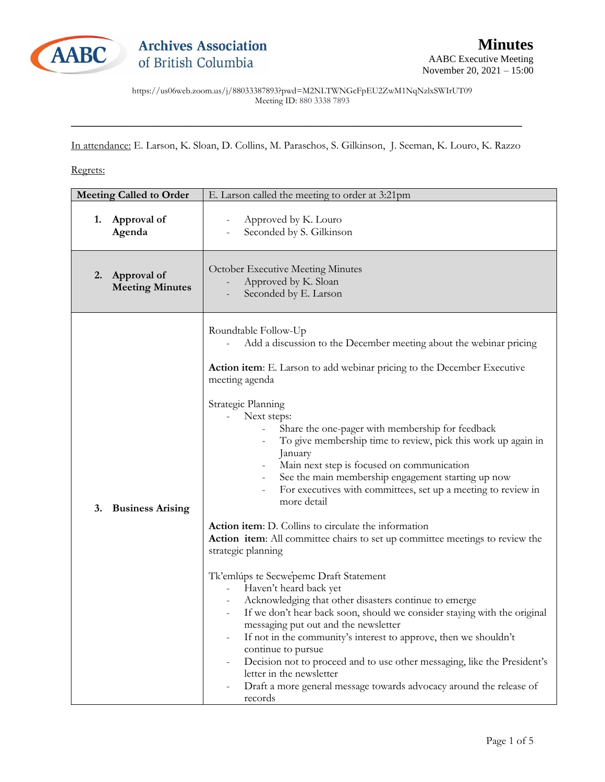

https://us06web.zoom.us/j/88033387893?pwd=M2NLTWNGcFpEU2ZwM1NqNzlxSWIrUT09 Meeting ID: 880 3338 7893

In attendance: E. Larson, K. Sloan, D. Collins, M. Paraschos, S. Gilkinson, J. Seeman, K. Louro, K. Razzo

\_\_\_\_\_\_\_\_\_\_\_\_\_\_\_\_\_\_\_\_\_\_\_\_\_\_\_\_\_\_\_\_\_\_\_\_\_\_\_\_\_\_\_\_\_\_\_\_\_\_\_\_\_\_\_\_\_\_\_\_\_\_\_\_\_\_\_\_\_\_\_\_\_\_\_\_\_\_\_\_\_\_\_

Regrets:

| Approval of<br>Approved by K. Louro<br>1.<br>Seconded by S. Gilkinson<br>Agenda<br>October Executive Meeting Minutes<br>Approval of<br>2.<br>Approved by K. Sloan<br><b>Meeting Minutes</b><br>Seconded by E. Larson<br>Roundtable Follow-Up<br>Add a discussion to the December meeting about the webinar pricing<br>Action item: E. Larson to add webinar pricing to the December Executive<br>meeting agenda<br>Strategic Planning                                                                                                                                                                                                                                                                                                                                                                                                                                                                                                                                                                                                                                                |
|--------------------------------------------------------------------------------------------------------------------------------------------------------------------------------------------------------------------------------------------------------------------------------------------------------------------------------------------------------------------------------------------------------------------------------------------------------------------------------------------------------------------------------------------------------------------------------------------------------------------------------------------------------------------------------------------------------------------------------------------------------------------------------------------------------------------------------------------------------------------------------------------------------------------------------------------------------------------------------------------------------------------------------------------------------------------------------------|
|                                                                                                                                                                                                                                                                                                                                                                                                                                                                                                                                                                                                                                                                                                                                                                                                                                                                                                                                                                                                                                                                                      |
|                                                                                                                                                                                                                                                                                                                                                                                                                                                                                                                                                                                                                                                                                                                                                                                                                                                                                                                                                                                                                                                                                      |
| Next steps:<br>Share the one-pager with membership for feedback<br>To give membership time to review, pick this work up again in<br>January<br>Main next step is focused on communication<br>See the main membership engagement starting up now<br>For executives with committees, set up a meeting to review in<br>more detail<br>3.<br><b>Business Arising</b><br>Action item: D. Collins to circulate the information<br>Action item: All committee chairs to set up committee meetings to review the<br>strategic planning<br>Tk'emlúps te Secwepemc Draft Statement<br>Haven't heard back yet<br>$\overline{\phantom{a}}$<br>Acknowledging that other disasters continue to emerge<br>If we don't hear back soon, should we consider staying with the original<br>messaging put out and the newsletter<br>If not in the community's interest to approve, then we shouldn't<br>continue to pursue<br>Decision not to proceed and to use other messaging, like the President's<br>letter in the newsletter<br>Draft a more general message towards advocacy around the release of |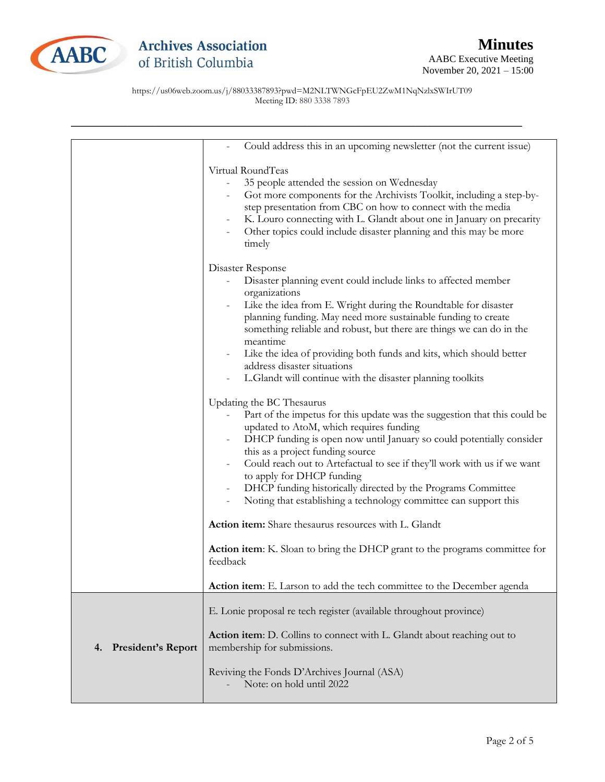

https://us06web.zoom.us/j/88033387893?pwd=M2NLTWNGcFpEU2ZwM1NqNzlxSWIrUT09 Meeting ID: 880 3338 7893

|                                 | Could address this in an upcoming newsletter (not the current issue)                                                                                                                                                                                                                                                                                                                                                                                                                                                                                                                                                                                                                |
|---------------------------------|-------------------------------------------------------------------------------------------------------------------------------------------------------------------------------------------------------------------------------------------------------------------------------------------------------------------------------------------------------------------------------------------------------------------------------------------------------------------------------------------------------------------------------------------------------------------------------------------------------------------------------------------------------------------------------------|
|                                 | Virtual RoundTeas<br>35 people attended the session on Wednesday<br>$\qquad \qquad -$<br>Got more components for the Archivists Toolkit, including a step-by-<br>step presentation from CBC on how to connect with the media<br>K. Louro connecting with L. Glandt about one in January on precarity<br>Other topics could include disaster planning and this may be more<br>timely                                                                                                                                                                                                                                                                                                 |
|                                 | Disaster Response<br>Disaster planning event could include links to affected member<br>organizations<br>Like the idea from E. Wright during the Roundtable for disaster<br>planning funding. May need more sustainable funding to create<br>something reliable and robust, but there are things we can do in the<br>meantime<br>Like the idea of providing both funds and kits, which should better<br>address disaster situations<br>L.Glandt will continue with the disaster planning toolkits                                                                                                                                                                                    |
|                                 | Updating the BC Thesaurus<br>Part of the impetus for this update was the suggestion that this could be<br>updated to AtoM, which requires funding<br>DHCP funding is open now until January so could potentially consider<br>this as a project funding source<br>Could reach out to Artefactual to see if they'll work with us if we want<br>to apply for DHCP funding<br>DHCP funding historically directed by the Programs Committee<br>Noting that establishing a technology committee can support this<br>$\qquad \qquad -$<br>Action item: Share thesaurus resources with L. Glandt<br>Action item: K. Sloan to bring the DHCP grant to the programs committee for<br>feedback |
|                                 | Action item: E. Larson to add the tech committee to the December agenda                                                                                                                                                                                                                                                                                                                                                                                                                                                                                                                                                                                                             |
|                                 | E. Lonie proposal re tech register (available throughout province)<br>Action item: D. Collins to connect with L. Glandt about reaching out to                                                                                                                                                                                                                                                                                                                                                                                                                                                                                                                                       |
| <b>President's Report</b><br>4. | membership for submissions.<br>Reviving the Fonds D'Archives Journal (ASA)<br>Note: on hold until 2022                                                                                                                                                                                                                                                                                                                                                                                                                                                                                                                                                                              |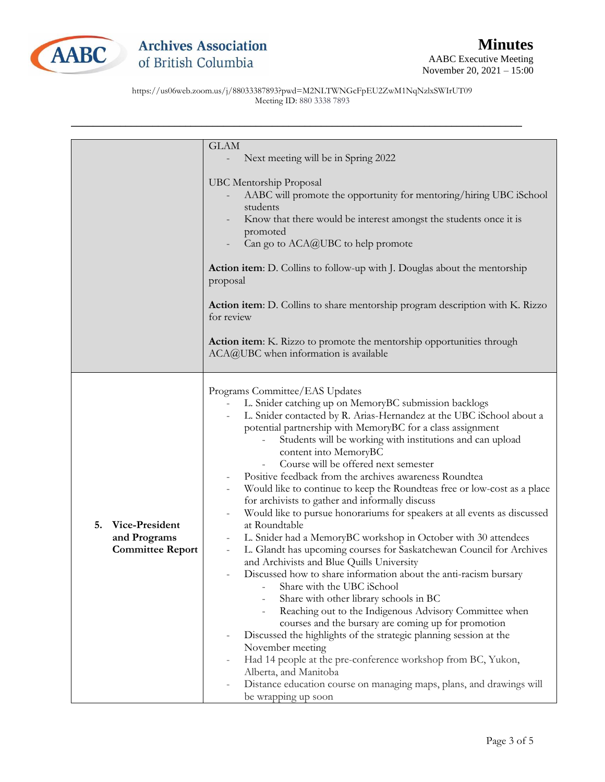

https://us06web.zoom.us/j/88033387893?pwd=M2NLTWNGcFpEU2ZwM1NqNzlxSWIrUT09 Meeting ID: 880 3338 7893

|                         | <b>GLAM</b>                                                                                                             |
|-------------------------|-------------------------------------------------------------------------------------------------------------------------|
|                         | Next meeting will be in Spring 2022                                                                                     |
|                         |                                                                                                                         |
|                         | <b>UBC Mentorship Proposal</b>                                                                                          |
|                         | AABC will promote the opportunity for mentoring/hiring UBC iSchool                                                      |
|                         | students                                                                                                                |
|                         | Know that there would be interest amongst the students once it is                                                       |
|                         | promoted<br>Can go to ACA@UBC to help promote                                                                           |
|                         |                                                                                                                         |
|                         | <b>Action item:</b> D. Collins to follow-up with J. Douglas about the mentorship                                        |
|                         | proposal                                                                                                                |
|                         | Action item: D. Collins to share mentorship program description with K. Rizzo                                           |
|                         | for review                                                                                                              |
|                         | Action item: K. Rizzo to promote the mentorship opportunities through                                                   |
|                         | ACA@UBC when information is available                                                                                   |
|                         |                                                                                                                         |
|                         | Programs Committee/EAS Updates                                                                                          |
|                         | L. Snider catching up on MemoryBC submission backlogs<br>$\overline{\phantom{a}}$                                       |
|                         | L. Snider contacted by R. Arias-Hernandez at the UBC iSchool about a                                                    |
|                         | potential partnership with MemoryBC for a class assignment<br>Students will be working with institutions and can upload |
|                         | content into MemoryBC                                                                                                   |
|                         | Course will be offered next semester                                                                                    |
|                         | Positive feedback from the archives awareness Roundtea                                                                  |
|                         | Would like to continue to keep the Roundteas free or low-cost as a place                                                |
|                         | for archivists to gather and informally discuss                                                                         |
| 5.<br>Vice-President    | Would like to pursue honorariums for speakers at all events as discussed<br>$\qquad \qquad -$<br>at Roundtable          |
| and Programs            | L. Snider had a MemoryBC workshop in October with 30 attendees                                                          |
| <b>Committee Report</b> | L. Glandt has upcoming courses for Saskatchewan Council for Archives                                                    |
|                         | and Archivists and Blue Quills University                                                                               |
|                         | Discussed how to share information about the anti-racism bursary                                                        |
|                         | Share with the UBC iSchool                                                                                              |
|                         | Share with other library schools in BC<br>Reaching out to the Indigenous Advisory Committee when                        |
|                         | courses and the bursary are coming up for promotion                                                                     |
|                         | Discussed the highlights of the strategic planning session at the                                                       |
|                         | November meeting                                                                                                        |
|                         | Had 14 people at the pre-conference workshop from BC, Yukon,                                                            |
|                         | Alberta, and Manitoba                                                                                                   |
|                         | Distance education course on managing maps, plans, and drawings will                                                    |
|                         | be wrapping up soon                                                                                                     |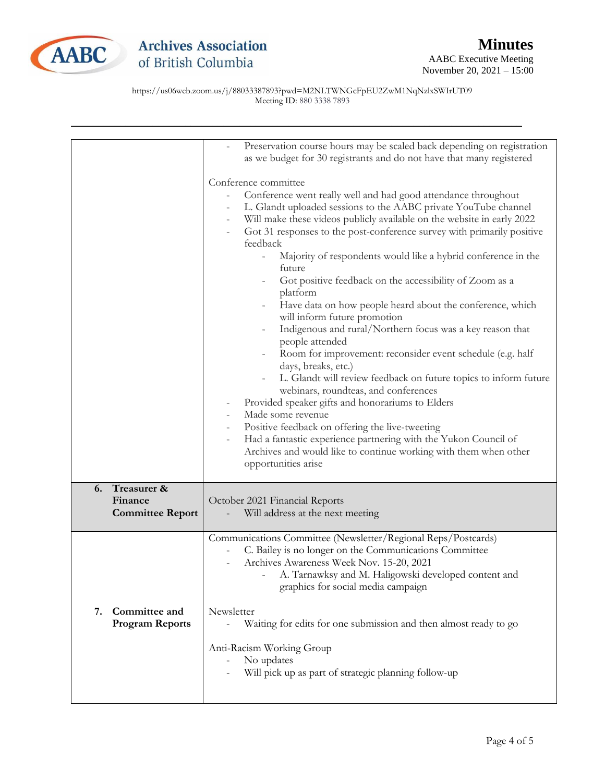

https://us06web.zoom.us/j/88033387893?pwd=M2NLTWNGcFpEU2ZwM1NqNzlxSWIrUT09 Meeting ID: 880 3338 7893

|                                               | Preservation course hours may be scaled back depending on registration<br>as we budget for 30 registrants and do not have that many registered                                                                                                                                                                                                                                                                                                                                                                                                                                                                                                                                                                                                                                                                                                                                                                                                                                        |
|-----------------------------------------------|---------------------------------------------------------------------------------------------------------------------------------------------------------------------------------------------------------------------------------------------------------------------------------------------------------------------------------------------------------------------------------------------------------------------------------------------------------------------------------------------------------------------------------------------------------------------------------------------------------------------------------------------------------------------------------------------------------------------------------------------------------------------------------------------------------------------------------------------------------------------------------------------------------------------------------------------------------------------------------------|
|                                               |                                                                                                                                                                                                                                                                                                                                                                                                                                                                                                                                                                                                                                                                                                                                                                                                                                                                                                                                                                                       |
|                                               | Conference committee<br>Conference went really well and had good attendance throughout<br>L. Glandt uploaded sessions to the AABC private YouTube channel<br>Will make these videos publicly available on the website in early 2022<br>Got 31 responses to the post-conference survey with primarily positive<br>feedback<br>Majority of respondents would like a hybrid conference in the<br>future<br>Got positive feedback on the accessibility of Zoom as a<br>platform<br>Have data on how people heard about the conference, which<br>will inform future promotion<br>Indigenous and rural/Northern focus was a key reason that<br>people attended<br>Room for improvement: reconsider event schedule (e.g. half<br>days, breaks, etc.)<br>L. Glandt will review feedback on future topics to inform future<br>webinars, roundteas, and conferences<br>Provided speaker gifts and honorariums to Elders<br>Made some revenue<br>Positive feedback on offering the live-tweeting |
|                                               | Had a fantastic experience partnering with the Yukon Council of<br>Archives and would like to continue working with them when other<br>opportunities arise                                                                                                                                                                                                                                                                                                                                                                                                                                                                                                                                                                                                                                                                                                                                                                                                                            |
| Treasurer &<br>6.                             |                                                                                                                                                                                                                                                                                                                                                                                                                                                                                                                                                                                                                                                                                                                                                                                                                                                                                                                                                                                       |
| Finance                                       | October 2021 Financial Reports                                                                                                                                                                                                                                                                                                                                                                                                                                                                                                                                                                                                                                                                                                                                                                                                                                                                                                                                                        |
| <b>Committee Report</b>                       | Will address at the next meeting                                                                                                                                                                                                                                                                                                                                                                                                                                                                                                                                                                                                                                                                                                                                                                                                                                                                                                                                                      |
|                                               | Communications Committee (Newsletter/Regional Reps/Postcards)<br>C. Bailey is no longer on the Communications Committee<br>Archives Awareness Week Nov. 15-20, 2021<br>A. Tarnawksy and M. Haligowski developed content and<br>graphics for social media campaign                                                                                                                                                                                                                                                                                                                                                                                                                                                                                                                                                                                                                                                                                                                     |
| Committee and<br>7.<br><b>Program Reports</b> | Newsletter<br>Waiting for edits for one submission and then almost ready to go                                                                                                                                                                                                                                                                                                                                                                                                                                                                                                                                                                                                                                                                                                                                                                                                                                                                                                        |
|                                               | Anti-Racism Working Group                                                                                                                                                                                                                                                                                                                                                                                                                                                                                                                                                                                                                                                                                                                                                                                                                                                                                                                                                             |
|                                               | No updates<br>Will pick up as part of strategic planning follow-up                                                                                                                                                                                                                                                                                                                                                                                                                                                                                                                                                                                                                                                                                                                                                                                                                                                                                                                    |
|                                               |                                                                                                                                                                                                                                                                                                                                                                                                                                                                                                                                                                                                                                                                                                                                                                                                                                                                                                                                                                                       |